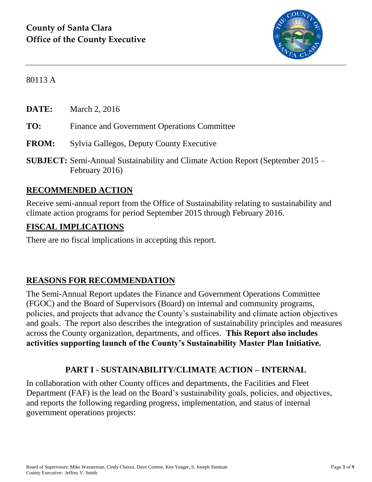

80113 A

**DATE:** March 2, 2016

- **TO:** Finance and Government Operations Committee
- **FROM:** Sylvia Gallegos, Deputy County Executive
- **SUBJECT:** Semi-Annual Sustainability and Climate Action Report (September 2015 February 2016)

#### **RECOMMENDED ACTION**

Receive semi-annual report from the Office of Sustainability relating to sustainability and climate action programs for period September 2015 through February 2016.

#### **FISCAL IMPLICATIONS**

There are no fiscal implications in accepting this report.

#### **REASONS FOR RECOMMENDATION**

The Semi-Annual Report updates the Finance and Government Operations Committee (FGOC) and the Board of Supervisors (Board) on internal and community programs, policies, and projects that advance the County's sustainability and climate action objectives and goals. The report also describes the integration of sustainability principles and measures across the County organization, departments, and offices. **This Report also includes activities supporting launch of the County's Sustainability Master Plan Initiative.**

#### **PART I - SUSTAINABILITY/CLIMATE ACTION – INTERNAL**

In collaboration with other County offices and departments, the Facilities and Fleet Department (FAF) is the lead on the Board's sustainability goals, policies, and objectives, and reports the following regarding progress, implementation, and status of internal government operations projects: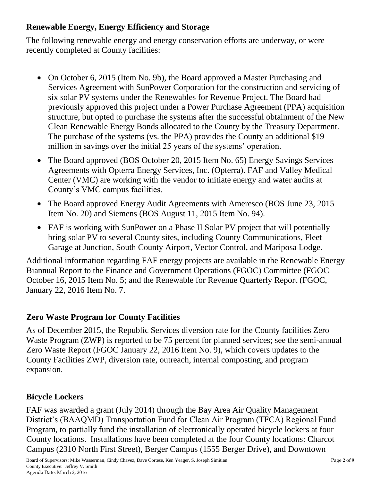# **Renewable Energy, Energy Efficiency and Storage**

The following renewable energy and energy conservation efforts are underway, or were recently completed at County facilities:

- On October 6, 2015 (Item No. 9b), the Board approved a Master Purchasing and Services Agreement with SunPower Corporation for the construction and servicing of six solar PV systems under the Renewables for Revenue Project. The Board had previously approved this project under a Power Purchase Agreement (PPA) acquisition structure, but opted to purchase the systems after the successful obtainment of the New Clean Renewable Energy Bonds allocated to the County by the Treasury Department. The purchase of the systems (vs. the PPA) provides the County an additional \$19 million in savings over the initial 25 years of the systems' operation.
- The Board approved (BOS October 20, 2015 Item No. 65) Energy Savings Services Agreements with Opterra Energy Services, Inc. (Opterra). FAF and Valley Medical Center (VMC) are working with the vendor to initiate energy and water audits at County's VMC campus facilities.
- The Board approved Energy Audit Agreements with Ameresco (BOS June 23, 2015) Item No. 20) and Siemens (BOS August 11, 2015 Item No. 94).
- FAF is working with SunPower on a Phase II Solar PV project that will potentially bring solar PV to several County sites, including County Communications, Fleet Garage at Junction, South County Airport, Vector Control, and Mariposa Lodge.

Additional information regarding FAF energy projects are available in the Renewable Energy Biannual Report to the Finance and Government Operations (FGOC) Committee (FGOC October 16, 2015 Item No. 5; and the Renewable for Revenue Quarterly Report (FGOC, January 22, 2016 Item No. 7.

# **Zero Waste Program for County Facilities**

As of December 2015, the Republic Services diversion rate for the County facilities Zero Waste Program (ZWP) is reported to be 75 percent for planned services; see the semi-annual Zero Waste Report (FGOC January 22, 2016 Item No. 9), which covers updates to the County Facilities ZWP, diversion rate, outreach, internal composting, and program expansion.

# **Bicycle Lockers**

FAF was awarded a grant (July 2014) through the Bay Area Air Quality Management District's (BAAQMD) Transportation Fund for Clean Air Program (TFCA) Regional Fund Program, to partially fund the installation of electronically operated bicycle lockers at four County locations. Installations have been completed at the four County locations: Charcot Campus (2310 North First Street), Berger Campus (1555 Berger Drive), and Downtown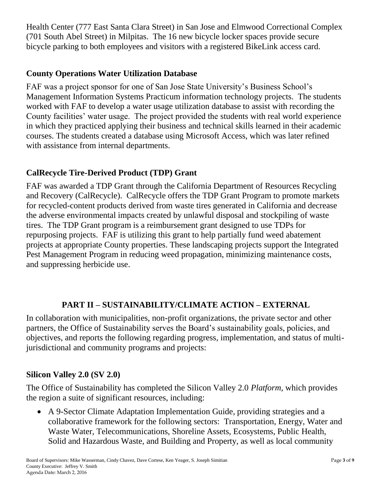Health Center (777 East Santa Clara Street) in San Jose and Elmwood Correctional Complex (701 South Abel Street) in Milpitas. The 16 new bicycle locker spaces provide secure bicycle parking to both employees and visitors with a registered BikeLink access card.

# **County Operations Water Utilization Database**

FAF was a project sponsor for one of San Jose State University's Business School's Management Information Systems Practicum information technology projects. The students worked with FAF to develop a water usage utilization database to assist with recording the County facilities' water usage. The project provided the students with real world experience in which they practiced applying their business and technical skills learned in their academic courses. The students created a database using Microsoft Access, which was later refined with assistance from internal departments.

# **CalRecycle Tire-Derived Product (TDP) Grant**

FAF was awarded a TDP Grant through the California Department of Resources Recycling and Recovery (CalRecycle). CalRecycle offers the TDP Grant Program to promote markets for recycled-content products derived from waste tires generated in California and decrease the adverse environmental impacts created by unlawful disposal and stockpiling of waste tires. The TDP Grant program is a reimbursement grant designed to use TDPs for repurposing projects. FAF is utilizing this grant to help partially fund weed abatement projects at appropriate County properties. These landscaping projects support the Integrated Pest Management Program in reducing weed propagation, minimizing maintenance costs, and suppressing herbicide use.

# **PART II – SUSTAINABILITY/CLIMATE ACTION – EXTERNAL**

In collaboration with municipalities, non-profit organizations, the private sector and other partners, the Office of Sustainability serves the Board's sustainability goals, policies, and objectives, and reports the following regarding progress, implementation, and status of multijurisdictional and community programs and projects:

# **Silicon Valley 2.0 (SV 2.0)**

The Office of Sustainability has completed the Silicon Valley 2.0 *Platform,* which provides the region a suite of significant resources, including:

 A 9-Sector Climate Adaptation Implementation Guide, providing strategies and a collaborative framework for the following sectors: Transportation, Energy, Water and Waste Water, Telecommunications, Shoreline Assets, Ecosystems, Public Health, Solid and Hazardous Waste, and Building and Property, as well as local community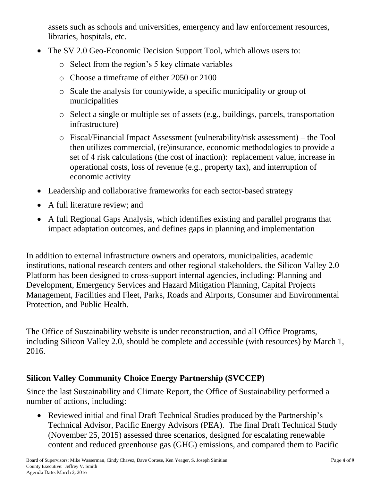assets such as schools and universities, emergency and law enforcement resources, libraries, hospitals, etc.

- The SV 2.0 Geo-Economic Decision Support Tool, which allows users to:
	- o Select from the region's 5 key climate variables
	- o Choose a timeframe of either 2050 or 2100
	- o Scale the analysis for countywide, a specific municipality or group of municipalities
	- o Select a single or multiple set of assets (e.g., buildings, parcels, transportation infrastructure)
	- o Fiscal/Financial Impact Assessment (vulnerability/risk assessment) the Tool then utilizes commercial, (re)insurance, economic methodologies to provide a set of 4 risk calculations (the cost of inaction): replacement value, increase in operational costs, loss of revenue (e.g., property tax), and interruption of economic activity
- Leadership and collaborative frameworks for each sector-based strategy
- A full literature review; and
- A full Regional Gaps Analysis, which identifies existing and parallel programs that impact adaptation outcomes, and defines gaps in planning and implementation

In addition to external infrastructure owners and operators, municipalities, academic institutions, national research centers and other regional stakeholders, the Silicon Valley 2.0 Platform has been designed to cross-support internal agencies, including: Planning and Development, Emergency Services and Hazard Mitigation Planning, Capital Projects Management, Facilities and Fleet, Parks, Roads and Airports, Consumer and Environmental Protection, and Public Health.

The Office of Sustainability website is under reconstruction, and all Office Programs, including Silicon Valley 2.0, should be complete and accessible (with resources) by March 1, 2016.

# **Silicon Valley Community Choice Energy Partnership (SVCCEP)**

Since the last Sustainability and Climate Report, the Office of Sustainability performed a number of actions, including:

• Reviewed initial and final Draft Technical Studies produced by the Partnership's Technical Advisor, Pacific Energy Advisors (PEA). The final Draft Technical Study (November 25, 2015) assessed three scenarios, designed for escalating renewable content and reduced greenhouse gas (GHG) emissions, and compared them to Pacific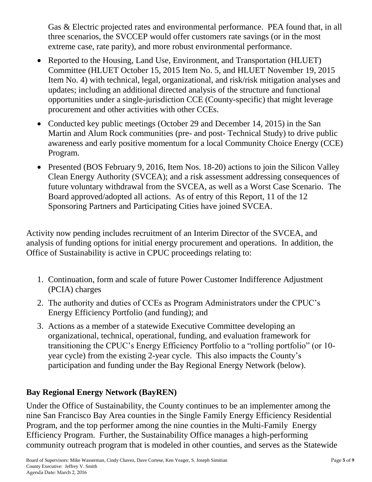Gas & Electric projected rates and environmental performance. PEA found that, in all three scenarios, the SVCCEP would offer customers rate savings (or in the most extreme case, rate parity), and more robust environmental performance.

- Reported to the Housing, Land Use, Environment, and Transportation (HLUET) Committee (HLUET October 15, 2015 Item No. 5, and HLUET November 19, 2015 Item No. 4) with technical, legal, organizational, and risk/risk mitigation analyses and updates; including an additional directed analysis of the structure and functional opportunities under a single-jurisdiction CCE (County-specific) that might leverage procurement and other activities with other CCEs.
- Conducted key public meetings (October 29 and December 14, 2015) in the San Martin and Alum Rock communities (pre- and post- Technical Study) to drive public awareness and early positive momentum for a local Community Choice Energy (CCE) Program.
- Presented (BOS February 9, 2016, Item Nos. 18-20) actions to join the Silicon Valley Clean Energy Authority (SVCEA); and a risk assessment addressing consequences of future voluntary withdrawal from the SVCEA, as well as a Worst Case Scenario. The Board approved/adopted all actions. As of entry of this Report, 11 of the 12 Sponsoring Partners and Participating Cities have joined SVCEA.

Activity now pending includes recruitment of an Interim Director of the SVCEA, and analysis of funding options for initial energy procurement and operations. In addition, the Office of Sustainability is active in CPUC proceedings relating to:

- 1. Continuation, form and scale of future Power Customer Indifference Adjustment (PCIA) charges
- 2. The authority and duties of CCEs as Program Administrators under the CPUC's Energy Efficiency Portfolio (and funding); and
- 3. Actions as a member of a statewide Executive Committee developing an organizational, technical, operational, funding, and evaluation framework for transitioning the CPUC's Energy Efficiency Portfolio to a "rolling portfolio" (or 10 year cycle) from the existing 2-year cycle. This also impacts the County's participation and funding under the Bay Regional Energy Network (below).

# **Bay Regional Energy Network (BayREN)**

Under the Office of Sustainability, the County continues to be an implementer among the nine San Francisco Bay Area counties in the Single Family Energy Efficiency Residential Program, and the top performer among the nine counties in the Multi-Family Energy Efficiency Program. Further, the Sustainability Office manages a high-performing community outreach program that is modeled in other counties, and serves as the Statewide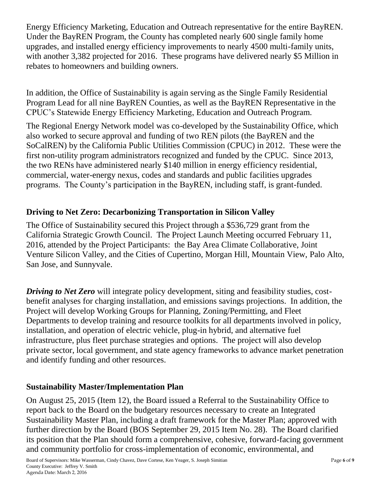Energy Efficiency Marketing, Education and Outreach representative for the entire BayREN. Under the BayREN Program, the County has completed nearly 600 single family home upgrades, and installed energy efficiency improvements to nearly 4500 multi-family units, with another 3,382 projected for 2016. These programs have delivered nearly \$5 Million in rebates to homeowners and building owners.

In addition, the Office of Sustainability is again serving as the Single Family Residential Program Lead for all nine BayREN Counties, as well as the BayREN Representative in the CPUC's Statewide Energy Efficiency Marketing, Education and Outreach Program.

The Regional Energy Network model was co-developed by the Sustainability Office, which also worked to secure approval and funding of two REN pilots (the BayREN and the SoCalREN) by the California Public Utilities Commission (CPUC) in 2012. These were the first non-utility program administrators recognized and funded by the CPUC. Since 2013, the two RENs have administered nearly \$140 million in energy efficiency residential, commercial, water-energy nexus, codes and standards and public facilities upgrades programs. The County's participation in the BayREN, including staff, is grant-funded.

# **Driving to Net Zero: Decarbonizing Transportation in Silicon Valley**

The Office of Sustainability secured this Project through a \$536,729 grant from the California Strategic Growth Council. The Project Launch Meeting occurred February 11, 2016, attended by the Project Participants: the Bay Area Climate Collaborative, Joint Venture Silicon Valley, and the Cities of Cupertino, Morgan Hill, Mountain View, Palo Alto, San Jose, and Sunnyvale.

*Driving to Net Zero* will integrate policy development, siting and feasibility studies, costbenefit analyses for charging installation, and emissions savings projections. In addition, the Project will develop Working Groups for Planning, Zoning/Permitting, and Fleet Departments to develop training and resource toolkits for all departments involved in policy, installation, and operation of electric vehicle, plug-in hybrid, and alternative fuel infrastructure, plus fleet purchase strategies and options. The project will also develop private sector, local government, and state agency frameworks to advance market penetration and identify funding and other resources.

#### **Sustainability Master/Implementation Plan**

On August 25, 2015 (Item 12), the Board issued a Referral to the Sustainability Office to report back to the Board on the budgetary resources necessary to create an Integrated Sustainability Master Plan, including a draft framework for the Master Plan; approved with further direction by the Board (BOS September 29, 2015 Item No. 28). The Board clarified its position that the Plan should form a comprehensive, cohesive, forward-facing government and community portfolio for cross-implementation of economic, environmental, and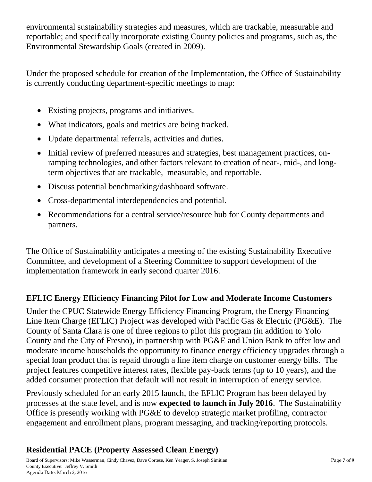environmental sustainability strategies and measures, which are trackable, measurable and reportable; and specifically incorporate existing County policies and programs, such as, the Environmental Stewardship Goals (created in 2009).

Under the proposed schedule for creation of the Implementation, the Office of Sustainability is currently conducting department-specific meetings to map:

- Existing projects, programs and initiatives.
- What indicators, goals and metrics are being tracked.
- Update departmental referrals, activities and duties.
- Initial review of preferred measures and strategies, best management practices, onramping technologies, and other factors relevant to creation of near-, mid-, and longterm objectives that are trackable, measurable, and reportable.
- Discuss potential benchmarking/dashboard software.
- Cross-departmental interdependencies and potential.
- Recommendations for a central service/resource hub for County departments and partners.

The Office of Sustainability anticipates a meeting of the existing Sustainability Executive Committee, and development of a Steering Committee to support development of the implementation framework in early second quarter 2016.

# **EFLIC Energy Efficiency Financing Pilot for Low and Moderate Income Customers**

Under the CPUC Statewide Energy Efficiency Financing Program, the Energy Financing Line Item Charge (EFLIC) Project was developed with Pacific Gas & Electric (PG&E). The County of Santa Clara is one of three regions to pilot this program (in addition to Yolo County and the City of Fresno), in partnership with PG&E and Union Bank to offer low and moderate income households the opportunity to finance energy efficiency upgrades through a special loan product that is repaid through a line item charge on customer energy bills. The project features competitive interest rates, flexible pay-back terms (up to 10 years), and the added consumer protection that default will not result in interruption of energy service.

Previously scheduled for an early 2015 launch, the EFLIC Program has been delayed by processes at the state level, and is now **expected to launch in July 2016**. The Sustainability Office is presently working with PG&E to develop strategic market profiling, contractor engagement and enrollment plans, program messaging, and tracking/reporting protocols.

# **Residential PACE (Property Assessed Clean Energy)**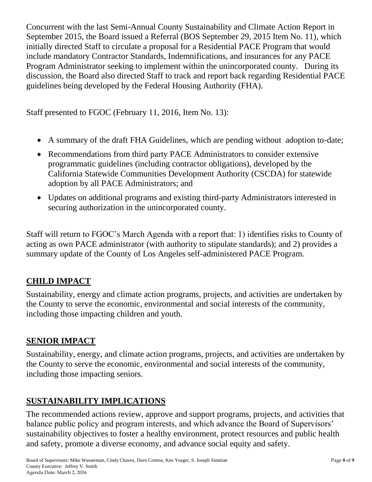Concurrent with the last Semi-Annual County Sustainability and Climate Action Report in September 2015, the Board issued a Referral (BOS September 29, 2015 Item No. 11), which initially directed Staff to circulate a proposal for a Residential PACE Program that would include mandatory Contractor Standards, Indemnifications, and insurances for any PACE Program Administrator seeking to implement within the unincorporated county. During its discussion, the Board also directed Staff to track and report back regarding Residential PACE guidelines being developed by the Federal Housing Authority (FHA).

Staff presented to FGOC (February 11, 2016, Item No. 13):

- A summary of the draft FHA Guidelines, which are pending without adoption to-date;
- Recommendations from third party PACE Administrators to consider extensive programmatic guidelines (including contractor obligations), developed by the California Statewide Communities Development Authority (CSCDA) for statewide adoption by all PACE Administrators; and
- Updates on additional programs and existing third-party Administrators interested in securing authorization in the unincorporated county.

Staff will return to FGOC's March Agenda with a report that: 1) identifies risks to County of acting as own PACE administrator (with authority to stipulate standards); and 2) provides a summary update of the County of Los Angeles self-administered PACE Program.

# **CHILD IMPACT**

Sustainability, energy and climate action programs, projects, and activities are undertaken by the County to serve the economic, environmental and social interests of the community, including those impacting children and youth.

# **SENIOR IMPACT**

Sustainability, energy, and climate action programs, projects, and activities are undertaken by the County to serve the economic, environmental and social interests of the community, including those impacting seniors.

# **SUSTAINABILITY IMPLICATIONS**

The recommended actions review, approve and support programs, projects, and activities that balance public policy and program interests, and which advance the Board of Supervisors' sustainability objectives to foster a healthy environment, protect resources and public health and safety, promote a diverse economy, and advance social equity and safety.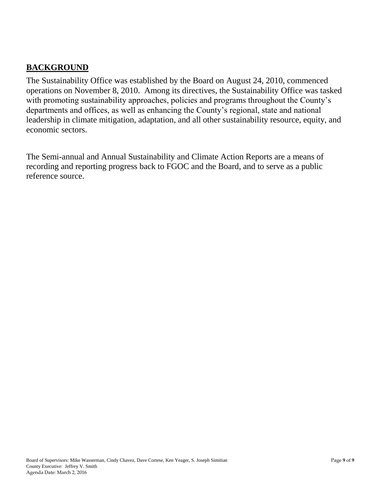### **BACKGROUND**

The Sustainability Office was established by the Board on August 24, 2010, commenced operations on November 8, 2010. Among its directives, the Sustainability Office was tasked with promoting sustainability approaches, policies and programs throughout the County's departments and offices, as well as enhancing the County's regional, state and national leadership in climate mitigation, adaptation, and all other sustainability resource, equity, and economic sectors.

The Semi-annual and Annual Sustainability and Climate Action Reports are a means of recording and reporting progress back to FGOC and the Board, and to serve as a public reference source.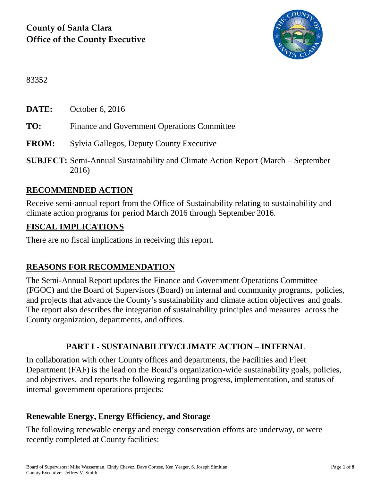

83352

**DATE:** October 6, 2016

- **TO:** Finance and Government Operations Committee
- **FROM:** Sylvia Gallegos, Deputy County Executive
- **SUBJECT:** Semi-Annual Sustainability and Climate Action Report (March September 2016)

## **RECOMMENDED ACTION**

Receive semi-annual report from the Office of Sustainability relating to sustainability and climate action programs for period March 2016 through September 2016.

#### **FISCAL IMPLICATIONS**

There are no fiscal implications in receiving this report.

#### **REASONS FOR RECOMMENDATION**

The Semi-Annual Report updates the Finance and Government Operations Committee (FGOC) and the Board of Supervisors (Board) on internal and community programs, policies, and projects that advance the County's sustainability and climate action objectives and goals. The report also describes the integration of sustainability principles and measures across the County organization, departments, and offices.

#### **PART I - SUSTAINABILITY/CLIMATE ACTION – INTERNAL**

In collaboration with other County offices and departments, the Facilities and Fleet Department (FAF) is the lead on the Board's organization-wide sustainability goals, policies, and objectives, and reports the following regarding progress, implementation, and status of internal government operations projects:

#### **Renewable Energy, Energy Efficiency, and Storage**

The following renewable energy and energy conservation efforts are underway, or were recently completed at County facilities: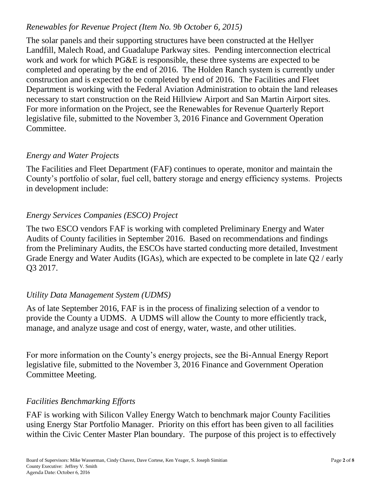#### *Renewables for Revenue Project (Item No. 9b October 6, 2015)*

The solar panels and their supporting structures have been constructed at the Hellyer Landfill, Malech Road, and Guadalupe Parkway sites. Pending interconnection electrical work and work for which PG&E is responsible, these three systems are expected to be completed and operating by the end of 2016. The Holden Ranch system is currently under construction and is expected to be completed by end of 2016. The Facilities and Fleet Department is working with the Federal Aviation Administration to obtain the land releases necessary to start construction on the Reid Hillview Airport and San Martin Airport sites. For more information on the Project, see the Renewables for Revenue Quarterly Report legislative file, submitted to the November 3, 2016 Finance and Government Operation Committee.

## *Energy and Water Projects*

The Facilities and Fleet Department (FAF) continues to operate, monitor and maintain the County's portfolio of solar, fuel cell, battery storage and energy efficiency systems. Projects in development include:

## *Energy Services Companies (ESCO) Project*

The two ESCO vendors FAF is working with completed Preliminary Energy and Water Audits of County facilities in September 2016. Based on recommendations and findings from the Preliminary Audits, the ESCOs have started conducting more detailed, Investment Grade Energy and Water Audits (IGAs), which are expected to be complete in late Q2 / early Q3 2017.

#### *Utility Data Management System (UDMS)*

As of late September 2016, FAF is in the process of finalizing selection of a vendor to provide the County a UDMS. A UDMS will allow the County to more efficiently track, manage, and analyze usage and cost of energy, water, waste, and other utilities.

For more information on the County's energy projects, see the Bi-Annual Energy Report legislative file, submitted to the November 3, 2016 Finance and Government Operation Committee Meeting.

#### *Facilities Benchmarking Efforts*

FAF is working with Silicon Valley Energy Watch to benchmark major County Facilities using Energy Star Portfolio Manager. Priority on this effort has been given to all facilities within the Civic Center Master Plan boundary. The purpose of this project is to effectively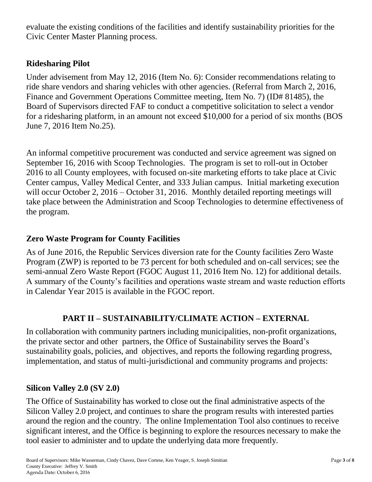evaluate the existing conditions of the facilities and identify sustainability priorities for the Civic Center Master Planning process.

#### **Ridesharing Pilot**

Under advisement from May 12, 2016 (Item No. 6): Consider recommendations relating to ride share vendors and sharing vehicles with other agencies. (Referral from March 2, 2016, Finance and Government Operations Committee meeting, Item No. 7) (ID# 81485), the Board of Supervisors directed FAF to conduct a competitive solicitation to select a vendor for a ridesharing platform, in an amount not exceed \$10,000 for a period of six months (BOS June 7, 2016 Item No.25).

An informal competitive procurement was conducted and service agreement was signed on September 16, 2016 with Scoop Technologies. The program is set to roll-out in October 2016 to all County employees, with focused on-site marketing efforts to take place at Civic Center campus, Valley Medical Center, and 333 Julian campus. Initial marketing execution will occur October 2, 2016 – October 31, 2016. Monthly detailed reporting meetings will take place between the Administration and Scoop Technologies to determine effectiveness of the program.

## **Zero Waste Program for County Facilities**

As of June 2016, the Republic Services diversion rate for the County facilities Zero Waste Program (ZWP) is reported to be 73 percent for both scheduled and on-call services; see the semi-annual Zero Waste Report (FGOC August 11, 2016 Item No. 12) for additional details. A summary of the County's facilities and operations waste stream and waste reduction efforts in Calendar Year 2015 is available in the FGOC report.

# **PART II – SUSTAINABILITY/CLIMATE ACTION – EXTERNAL**

In collaboration with community partners including municipalities, non-profit organizations, the private sector and other partners, the Office of Sustainability serves the Board's sustainability goals, policies, and objectives, and reports the following regarding progress, implementation, and status of multi-jurisdictional and community programs and projects:

#### **Silicon Valley 2.0 (SV 2.0)**

The Office of Sustainability has worked to close out the final administrative aspects of the Silicon Valley 2.0 project, and continues to share the program results with interested parties around the region and the country. The online Implementation Tool also continues to receive significant interest, and the Office is beginning to explore the resources necessary to make the tool easier to administer and to update the underlying data more frequently.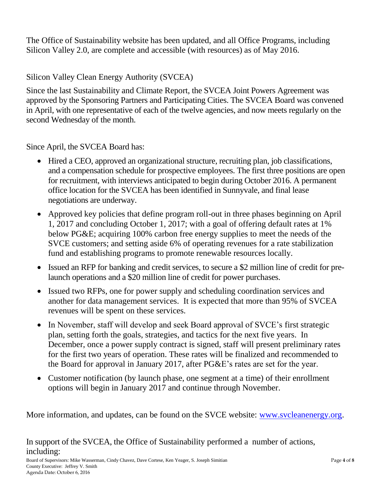The Office of Sustainability website has been updated, and all Office Programs, including Silicon Valley 2.0, are complete and accessible (with resources) as of May 2016.

## Silicon Valley Clean Energy Authority (SVCEA)

Since the last Sustainability and Climate Report, the SVCEA Joint Powers Agreement was approved by the Sponsoring Partners and Participating Cities. The SVCEA Board was convened in April, with one representative of each of the twelve agencies, and now meets regularly on the second Wednesday of the month.

Since April, the SVCEA Board has:

- Hired a CEO, approved an organizational structure, recruiting plan, job classifications, and a compensation schedule for prospective employees. The first three positions are open for recruitment, with interviews anticipated to begin during October 2016. A permanent office location for the SVCEA has been identified in Sunnyvale, and final lease negotiations are underway.
- Approved key policies that define program roll-out in three phases beginning on April 1, 2017 and concluding October 1, 2017; with a goal of offering default rates at 1% below PG&E; acquiring 100% carbon free energy supplies to meet the needs of the SVCE customers; and setting aside 6% of operating revenues for a rate stabilization fund and establishing programs to promote renewable resources locally.
- Issued an RFP for banking and credit services, to secure a \$2 million line of credit for prelaunch operations and a \$20 million line of credit for power purchases.
- Issued two RFPs, one for power supply and scheduling coordination services and another for data management services. It is expected that more than 95% of SVCEA revenues will be spent on these services.
- In November, staff will develop and seek Board approval of SVCE's first strategic plan, setting forth the goals, strategies, and tactics for the next five years. In December, once a power supply contract is signed, staff will present preliminary rates for the first two years of operation. These rates will be finalized and recommended to the Board for approval in January 2017, after PG&E's rates are set for the year.
- Customer notification (by launch phase, one segment at a time) of their enrollment options will begin in January 2017 and continue through November.

More information, and updates, can be found on the SVCE website: [www.svcleanenergy.org.](http://www.svcleanenergy.org/)

# In support of the SVCEA, the Office of Sustainability performed a number of actions, including: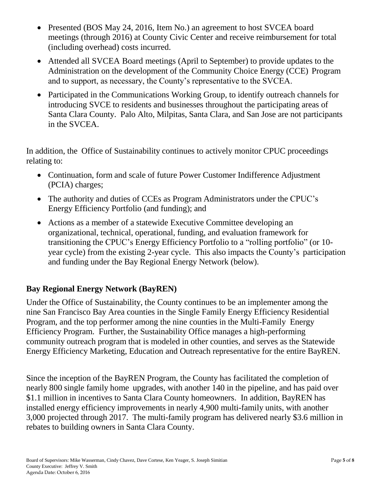- Presented (BOS May 24, 2016, Item No.) an agreement to host SVCEA board meetings (through 2016) at County Civic Center and receive reimbursement for total (including overhead) costs incurred.
- Attended all SVCEA Board meetings (April to September) to provide updates to the Administration on the development of the Community Choice Energy (CCE) Program and to support, as necessary, the County's representative to the SVCEA.
- Participated in the Communications Working Group, to identify outreach channels for introducing SVCE to residents and businesses throughout the participating areas of Santa Clara County. Palo Alto, Milpitas, Santa Clara, and San Jose are not participants in the SVCEA.

In addition, the Office of Sustainability continues to actively monitor CPUC proceedings relating to:

- Continuation, form and scale of future Power Customer Indifference Adjustment (PCIA) charges;
- The authority and duties of CCEs as Program Administrators under the CPUC's Energy Efficiency Portfolio (and funding); and
- Actions as a member of a statewide Executive Committee developing an organizational, technical, operational, funding, and evaluation framework for transitioning the CPUC's Energy Efficiency Portfolio to a "rolling portfolio" (or 10 year cycle) from the existing 2-year cycle. This also impacts the County's participation and funding under the Bay Regional Energy Network (below).

# **Bay Regional Energy Network (BayREN)**

Under the Office of Sustainability, the County continues to be an implementer among the nine San Francisco Bay Area counties in the Single Family Energy Efficiency Residential Program, and the top performer among the nine counties in the Multi-Family Energy Efficiency Program. Further, the Sustainability Office manages a high-performing community outreach program that is modeled in other counties, and serves as the Statewide Energy Efficiency Marketing, Education and Outreach representative for the entire BayREN.

Since the inception of the BayREN Program, the County has facilitated the completion of nearly 800 single family home upgrades, with another 140 in the pipeline, and has paid over \$1.1 million in incentives to Santa Clara County homeowners. In addition, BayREN has installed energy efficiency improvements in nearly 4,900 multi-family units, with another 3,000 projected through 2017. The multi-family program has delivered nearly \$3.6 million in rebates to building owners in Santa Clara County.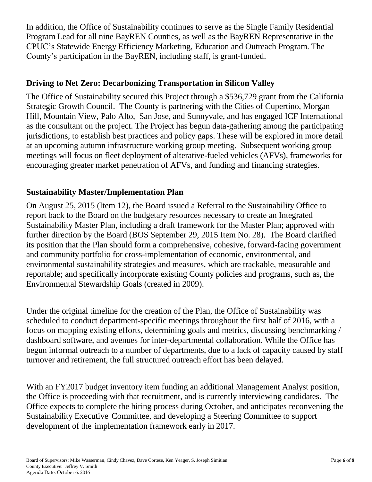In addition, the Office of Sustainability continues to serve as the Single Family Residential Program Lead for all nine BayREN Counties, as well as the BayREN Representative in the CPUC's Statewide Energy Efficiency Marketing, Education and Outreach Program. The County's participation in the BayREN, including staff, is grant-funded.

## **Driving to Net Zero: Decarbonizing Transportation in Silicon Valley**

The Office of Sustainability secured this Project through a \$536,729 grant from the California Strategic Growth Council. The County is partnering with the Cities of Cupertino, Morgan Hill, Mountain View, Palo Alto, San Jose, and Sunnyvale, and has engaged ICF International as the consultant on the project. The Project has begun data-gathering among the participating jurisdictions, to establish best practices and policy gaps. These will be explored in more detail at an upcoming autumn infrastructure working group meeting. Subsequent working group meetings will focus on fleet deployment of alterative-fueled vehicles (AFVs), frameworks for encouraging greater market penetration of AFVs, and funding and financing strategies.

# **Sustainability Master/Implementation Plan**

On August 25, 2015 (Item 12), the Board issued a Referral to the Sustainability Office to report back to the Board on the budgetary resources necessary to create an Integrated Sustainability Master Plan, including a draft framework for the Master Plan; approved with further direction by the Board (BOS September 29, 2015 Item No. 28). The Board clarified its position that the Plan should form a comprehensive, cohesive, forward-facing government and community portfolio for cross-implementation of economic, environmental, and environmental sustainability strategies and measures, which are trackable, measurable and reportable; and specifically incorporate existing County policies and programs, such as, the Environmental Stewardship Goals (created in 2009).

Under the original timeline for the creation of the Plan, the Office of Sustainability was scheduled to conduct department-specific meetings throughout the first half of 2016, with a focus on mapping existing efforts, determining goals and metrics, discussing benchmarking / dashboard software, and avenues for inter-departmental collaboration. While the Office has begun informal outreach to a number of departments, due to a lack of capacity caused by staff turnover and retirement, the full structured outreach effort has been delayed.

With an FY2017 budget inventory item funding an additional Management Analyst position, the Office is proceeding with that recruitment, and is currently interviewing candidates. The Office expects to complete the hiring process during October, and anticipates reconvening the Sustainability Executive Committee, and developing a Steering Committee to support development of the implementation framework early in 2017.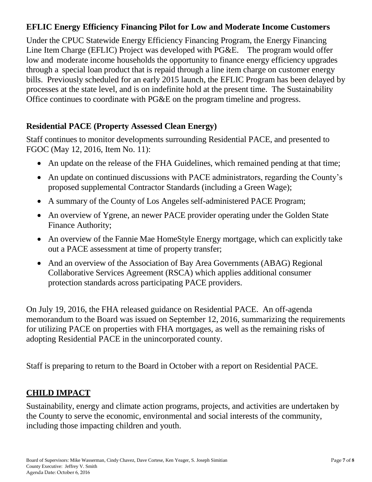### **EFLIC Energy Efficiency Financing Pilot for Low and Moderate Income Customers**

Under the CPUC Statewide Energy Efficiency Financing Program, the Energy Financing Line Item Charge (EFLIC) Project was developed with PG&E. The program would offer low and moderate income households the opportunity to finance energy efficiency upgrades through a special loan product that is repaid through a line item charge on customer energy bills. Previously scheduled for an early 2015 launch, the EFLIC Program has been delayed by processes at the state level, and is on indefinite hold at the present time. The Sustainability Office continues to coordinate with PG&E on the program timeline and progress.

## **Residential PACE (Property Assessed Clean Energy)**

Staff continues to monitor developments surrounding Residential PACE, and presented to FGOC (May 12, 2016, Item No. 11):

- An update on the release of the FHA Guidelines, which remained pending at that time;
- An update on continued discussions with PACE administrators, regarding the County's proposed supplemental Contractor Standards (including a Green Wage);
- A summary of the County of Los Angeles self-administered PACE Program;
- An overview of Ygrene, an newer PACE provider operating under the Golden State Finance Authority;
- An overview of the Fannie Mae HomeStyle Energy mortgage, which can explicitly take out a PACE assessment at time of property transfer;
- And an overview of the Association of Bay Area Governments (ABAG) Regional Collaborative Services Agreement (RSCA) which applies additional consumer protection standards across participating PACE providers.

On July 19, 2016, the FHA released guidance on Residential PACE. An off-agenda memorandum to the Board was issued on September 12, 2016, summarizing the requirements for utilizing PACE on properties with FHA mortgages, as well as the remaining risks of adopting Residential PACE in the unincorporated county.

Staff is preparing to return to the Board in October with a report on Residential PACE.

# **CHILD IMPACT**

Sustainability, energy and climate action programs, projects, and activities are undertaken by the County to serve the economic, environmental and social interests of the community, including those impacting children and youth.